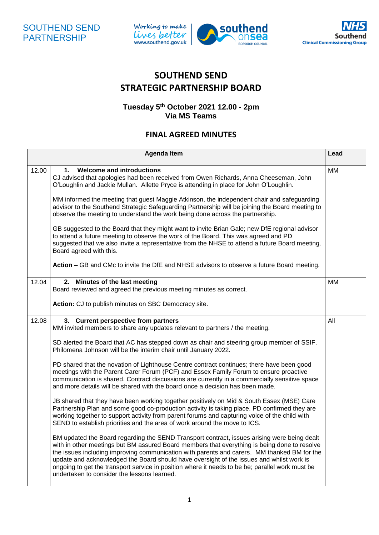



## **SOUTHEND SEND STRATEGIC PARTNERSHIP BOARD**

hend

**BOROUGH COUNCIL** 

## **Tuesday 5 th October 2021 12.00 - 2pm Via MS Teams**

## **FINAL AGREED MINUTES**

| Lead<br><b>Agenda Item</b> |                                                                                                                                                                                                                                                                                                                                                                                                                                                                                                                                          |     |  |
|----------------------------|------------------------------------------------------------------------------------------------------------------------------------------------------------------------------------------------------------------------------------------------------------------------------------------------------------------------------------------------------------------------------------------------------------------------------------------------------------------------------------------------------------------------------------------|-----|--|
| 12.00                      | <b>Welcome and introductions</b><br>$\mathbf 1$ .<br>CJ advised that apologies had been received from Owen Richards, Anna Cheeseman, John<br>O'Loughlin and Jackie Mullan. Allette Pryce is attending in place for John O'Loughlin.<br>MM informed the meeting that guest Maggie Atkinson, the independent chair and safeguarding<br>advisor to the Southend Strategic Safeguarding Partnership will be joining the Board meeting to<br>observe the meeting to understand the work being done across the partnership.                    | MM  |  |
|                            | GB suggested to the Board that they might want to invite Brian Gale; new DfE regional advisor<br>to attend a future meeting to observe the work of the Board. This was agreed and PD<br>suggested that we also invite a representative from the NHSE to attend a future Board meeting.<br>Board agreed with this.<br>Action – GB and CMc to invite the DfE and NHSE advisors to observe a future Board meeting.                                                                                                                          |     |  |
|                            |                                                                                                                                                                                                                                                                                                                                                                                                                                                                                                                                          |     |  |
| 12.04                      | 2. Minutes of the last meeting<br>Board reviewed and agreed the previous meeting minutes as correct.                                                                                                                                                                                                                                                                                                                                                                                                                                     | MM  |  |
|                            | Action: CJ to publish minutes on SBC Democracy site.                                                                                                                                                                                                                                                                                                                                                                                                                                                                                     |     |  |
| 12.08                      | 3. Current perspective from partners<br>MM invited members to share any updates relevant to partners / the meeting.                                                                                                                                                                                                                                                                                                                                                                                                                      | All |  |
|                            | SD alerted the Board that AC has stepped down as chair and steering group member of SSIF.<br>Philomena Johnson will be the interim chair until January 2022.                                                                                                                                                                                                                                                                                                                                                                             |     |  |
|                            | PD shared that the novation of Lighthouse Centre contract continues; there have been good<br>meetings with the Parent Carer Forum (PCF) and Essex Family Forum to ensure proactive<br>communication is shared. Contract discussions are currently in a commercially sensitive space<br>and more details will be shared with the board once a decision has been made.                                                                                                                                                                     |     |  |
|                            | JB shared that they have been working together positively on Mid & South Essex (MSE) Care<br>Partnership Plan and some good co-production activity is taking place. PD confirmed they are<br>working together to support activity from parent forums and capturing voice of the child with<br>SEND to establish priorities and the area of work around the move to ICS.                                                                                                                                                                  |     |  |
|                            | BM updated the Board regarding the SEND Transport contract, issues arising were being dealt<br>with in other meetings but BM assured Board members that everything is being done to resolve<br>the issues including improving communication with parents and carers. MM thanked BM for the<br>update and acknowledged the Board should have oversight of the issues and whilst work is<br>ongoing to get the transport service in position where it needs to be be; parallel work must be<br>undertaken to consider the lessons learned. |     |  |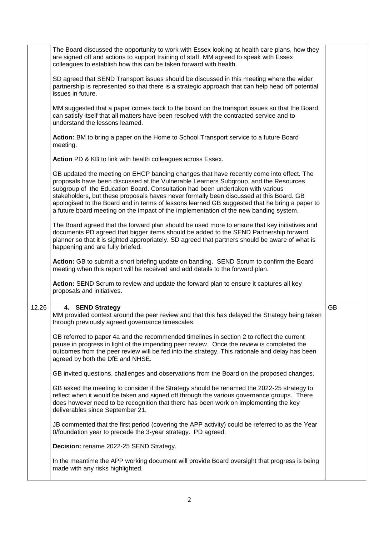|       | The Board discussed the opportunity to work with Essex looking at health care plans, how they<br>are signed off and actions to support training of staff. MM agreed to speak with Essex<br>colleagues to establish how this can be taken forward with health.                                                                                                                                                                                                                                                                                          |           |
|-------|--------------------------------------------------------------------------------------------------------------------------------------------------------------------------------------------------------------------------------------------------------------------------------------------------------------------------------------------------------------------------------------------------------------------------------------------------------------------------------------------------------------------------------------------------------|-----------|
|       | SD agreed that SEND Transport issues should be discussed in this meeting where the wider<br>partnership is represented so that there is a strategic approach that can help head off potential<br>issues in future.                                                                                                                                                                                                                                                                                                                                     |           |
|       | MM suggested that a paper comes back to the board on the transport issues so that the Board<br>can satisfy itself that all matters have been resolved with the contracted service and to<br>understand the lessons learned.                                                                                                                                                                                                                                                                                                                            |           |
|       | Action: BM to bring a paper on the Home to School Transport service to a future Board<br>meeting.                                                                                                                                                                                                                                                                                                                                                                                                                                                      |           |
|       | Action PD & KB to link with health colleagues across Essex.                                                                                                                                                                                                                                                                                                                                                                                                                                                                                            |           |
|       | GB updated the meeting on EHCP banding changes that have recently come into effect. The<br>proposals have been discussed at the Vulnerable Learners Subgroup, and the Resources<br>subgroup of the Education Board. Consultation had been undertaken with various<br>stakeholders, but these proposals haves never formally been discussed at this Board. GB<br>apologised to the Board and in terms of lessons learned GB suggested that he bring a paper to<br>a future board meeting on the impact of the implementation of the new banding system. |           |
|       | The Board agreed that the forward plan should be used more to ensure that key initiatives and<br>documents PD agreed that bigger items should be added to the SEND Partnership forward<br>planner so that it is sighted appropriately. SD agreed that partners should be aware of what is<br>happening and are fully briefed.                                                                                                                                                                                                                          |           |
|       | Action: GB to submit a short briefing update on banding. SEND Scrum to confirm the Board<br>meeting when this report will be received and add details to the forward plan.                                                                                                                                                                                                                                                                                                                                                                             |           |
|       | Action: SEND Scrum to review and update the forward plan to ensure it captures all key<br>proposals and initiatives.                                                                                                                                                                                                                                                                                                                                                                                                                                   |           |
| 12.26 | 4. SEND Strategy<br>MM provided context around the peer review and that this has delayed the Strategy being taken<br>through previously agreed governance timescales.                                                                                                                                                                                                                                                                                                                                                                                  | <b>GB</b> |
|       | GB referred to paper 4a and the recommended timelines in section 2 to reflect the current<br>pause in progress in light of the impending peer review. Once the review is completed the<br>outcomes from the peer review will be fed into the strategy. This rationale and delay has been<br>agreed by both the DfE and NHSE.                                                                                                                                                                                                                           |           |
|       | GB invited questions, challenges and observations from the Board on the proposed changes.                                                                                                                                                                                                                                                                                                                                                                                                                                                              |           |
|       | GB asked the meeting to consider if the Strategy should be renamed the 2022-25 strategy to<br>reflect when it would be taken and signed off through the various governance groups. There<br>does however need to be recognition that there has been work on implementing the key<br>deliverables since September 21.                                                                                                                                                                                                                                   |           |
|       | JB commented that the first period (covering the APP activity) could be referred to as the Year<br>0/foundation year to precede the 3-year strategy. PD agreed.                                                                                                                                                                                                                                                                                                                                                                                        |           |
|       | Decision: rename 2022-25 SEND Strategy.                                                                                                                                                                                                                                                                                                                                                                                                                                                                                                                |           |
|       | In the meantime the APP working document will provide Board oversight that progress is being<br>made with any risks highlighted.                                                                                                                                                                                                                                                                                                                                                                                                                       |           |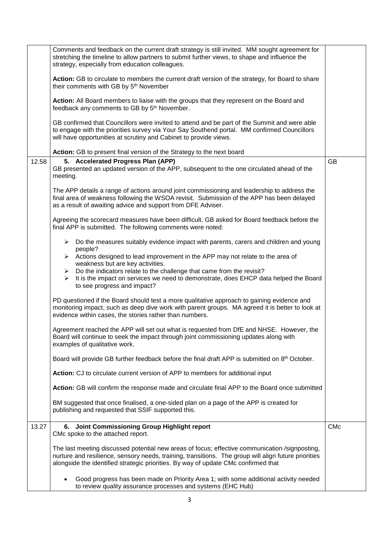|       | Comments and feedback on the current draft strategy is still invited. MM sought agreement for<br>stretching the timeline to allow partners to submit further views, to shape and influence the<br>strategy, especially from education colleagues.                                            |            |
|-------|----------------------------------------------------------------------------------------------------------------------------------------------------------------------------------------------------------------------------------------------------------------------------------------------|------------|
|       | Action: GB to circulate to members the current draft version of the strategy, for Board to share<br>their comments with GB by 5 <sup>th</sup> November                                                                                                                                       |            |
|       | Action: All Board members to liaise with the groups that they represent on the Board and<br>feedback any comments to GB by 5 <sup>th</sup> November.                                                                                                                                         |            |
|       | GB confirmed that Councillors were invited to attend and be part of the Summit and were able<br>to engage with the priorities survey via Your Say Southend portal. MM confirmed Councillors<br>will have opportunities at scrutiny and Cabinet to provide views.                             |            |
|       | Action: GB to present final version of the Strategy to the next board                                                                                                                                                                                                                        |            |
| 12.58 | 5. Accelerated Progress Plan (APP)<br>GB presented an updated version of the APP, subsequent to the one circulated ahead of the<br>meeting.                                                                                                                                                  | <b>GB</b>  |
|       | The APP details a range of actions around joint commissioning and leadership to address the<br>final area of weakness following the WSOA revisit. Submission of the APP has been delayed<br>as a result of awaiting advice and support from DFE Adviser.                                     |            |
|       | Agreeing the scorecard measures have been difficult. GB asked for Board feedback before the<br>final APP is submitted. The following comments were noted:                                                                                                                                    |            |
|       | $\triangleright$ Do the measures suitably evidence impact with parents, carers and children and young<br>people?                                                                                                                                                                             |            |
|       | $\triangleright$ Actions designed to lead improvement in the APP may not relate to the area of<br>weakness but are key activities.                                                                                                                                                           |            |
|       | Do the indicators relate to the challenge that came from the revisit?<br>➤<br>It is the impact on services we need to demonstrate, does EHCP data helped the Board<br>≻<br>to see progress and impact?                                                                                       |            |
|       | PD questioned if the Board should test a more qualitative approach to gaining evidence and<br>monitoring impact, such as deep dive work with parent groups. MA agreed it is better to look at<br>evidence within cases, the stories rather than numbers.                                     |            |
|       | Agreement reached the APP will set out what is requested from DfE and NHSE. However, the<br>Board will continue to seek the impact through joint commissioning updates along with<br>examples of qualitative work.                                                                           |            |
|       | Board will provide GB further feedback before the final draft APP is submitted on 8th October.                                                                                                                                                                                               |            |
|       | Action: CJ to circulate current version of APP to members for additional input                                                                                                                                                                                                               |            |
|       | Action: GB will confirm the response made and circulate final APP to the Board once submitted                                                                                                                                                                                                |            |
|       | BM suggested that once finalised, a one-sided plan on a page of the APP is created for<br>publishing and requested that SSIF supported this.                                                                                                                                                 |            |
| 13.27 | 6. Joint Commissioning Group Highlight report<br>CMc spoke to the attached report.                                                                                                                                                                                                           | <b>CMc</b> |
|       | The last meeting discussed potential new areas of focus; effective communication /signposting,<br>nurture and resilience, sensory needs, training, transitions. The group will align future priorities<br>alongside the identified strategic priorities. By way of update CMc confirmed that |            |
|       | Good progress has been made on Priority Area 1; with some additional activity needed<br>to review quality assurance processes and systems (EHC Hub)                                                                                                                                          |            |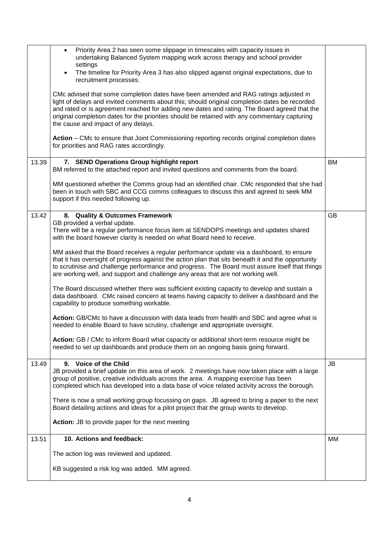|       | Priority Area 2 has seen some slippage in timescales with capacity issues in<br>$\bullet$<br>undertaking Balanced System mapping work across therapy and school provider<br>settings                                                                                                                                                                                                                                          |           |
|-------|-------------------------------------------------------------------------------------------------------------------------------------------------------------------------------------------------------------------------------------------------------------------------------------------------------------------------------------------------------------------------------------------------------------------------------|-----------|
|       | The timeline for Priority Area 3 has also slipped against original expectations, due to<br>$\bullet$<br>recruitment processes.                                                                                                                                                                                                                                                                                                |           |
|       | CMc advised that some completion dates have been amended and RAG ratings adjusted in<br>light of delays and invited comments about this; should original completion dates be recorded<br>and rated or is agreement reached for adding new dates and rating. The Board agreed that the<br>original completion dates for the priorities should be retained with any commentary capturing<br>the cause and impact of any delays. |           |
|       | Action - CMc to ensure that Joint Commissioning reporting records original completion dates<br>for priorities and RAG rates accordingly.                                                                                                                                                                                                                                                                                      |           |
| 13.39 | 7. SEND Operations Group highlight report<br>BM referred to the attached report and invited questions and comments from the board.                                                                                                                                                                                                                                                                                            | <b>BM</b> |
|       | MM questioned whether the Comms group had an identified chair. CMc responded that she had<br>been in touch with SBC and CCG comms colleagues to discuss this and agreed to seek MM<br>support if this needed following up.                                                                                                                                                                                                    |           |
| 13.42 | 8. Quality & Outcomes Framework<br>GB provided a verbal update.                                                                                                                                                                                                                                                                                                                                                               | <b>GB</b> |
|       | There will be a regular performance focus item at SENDOPS meetings and updates shared<br>with the board however clarity is needed on what Board need to receive.                                                                                                                                                                                                                                                              |           |
|       | MM asked that the Board receives a regular performance update via a dashboard, to ensure<br>that it has oversight of progress against the action plan that sits beneath it and the opportunity<br>to scrutinise and challenge performance and progress. The Board must assure itself that things<br>are working well, and support and challenge any areas that are not working well.                                          |           |
|       | The Board discussed whether there was sufficient existing capacity to develop and sustain a<br>data dashboard. CMc raised concern at teams having capacity to deliver a dashboard and the<br>capability to produce something workable.                                                                                                                                                                                        |           |
|       | Action: GB/CMc to have a discussion with data leads from health and SBC and agree what is<br>needed to enable Board to have scrutiny, challenge and appropriate oversight.                                                                                                                                                                                                                                                    |           |
|       | Action: GB / CMc to inform Board what capacity or additional short-term resource might be<br>needed to set up dashboards and produce them on an ongoing basis going forward.                                                                                                                                                                                                                                                  |           |
| 13.49 | 9. Voice of the Child<br>JB provided a brief update on this area of work. 2 meetings have now taken place with a large<br>group of positive, creative individuals across the area. A mapping exercise has been<br>completed which has developed into a data base of voice related activity across the borough.                                                                                                                | <b>JB</b> |
|       | There is now a small working group focussing on gaps. JB agreed to bring a paper to the next<br>Board detailing actions and ideas for a pilot project that the group wants to develop.                                                                                                                                                                                                                                        |           |
|       | Action: JB to provide paper for the next meeting                                                                                                                                                                                                                                                                                                                                                                              |           |
| 13.51 | 10. Actions and feedback:                                                                                                                                                                                                                                                                                                                                                                                                     | MМ        |
|       | The action log was reviewed and updated.                                                                                                                                                                                                                                                                                                                                                                                      |           |
|       | KB suggested a risk log was added. MM agreed.                                                                                                                                                                                                                                                                                                                                                                                 |           |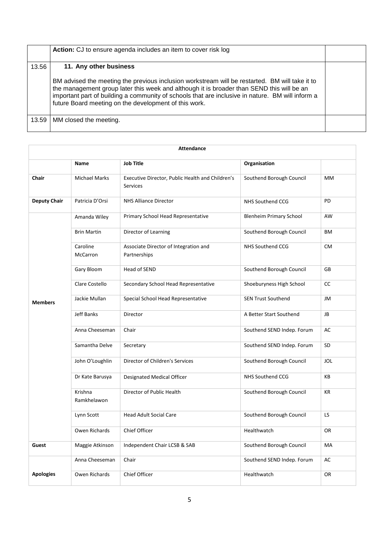|       | Action: CJ to ensure agenda includes an item to cover risk log                                                                                                                                                                                                                                                            |  |
|-------|---------------------------------------------------------------------------------------------------------------------------------------------------------------------------------------------------------------------------------------------------------------------------------------------------------------------------|--|
| 13.56 | 11. Any other business<br>BM advised the meeting the previous inclusion workstream will be restarted. BM will take it to<br>the management group later this week and although it is broader than SEND this will be an<br>important part of building a community of schools that are inclusive in nature. BM will inform a |  |
| 13.59 | future Board meeting on the development of this work.<br>MM closed the meeting.                                                                                                                                                                                                                                           |  |
|       |                                                                                                                                                                                                                                                                                                                           |  |

| <b>Attendance</b>   |                             |                                                              |                                |            |
|---------------------|-----------------------------|--------------------------------------------------------------|--------------------------------|------------|
|                     | Name                        | <b>Job Title</b>                                             | Organisation                   |            |
| Chair               | <b>Michael Marks</b>        | Executive Director, Public Health and Children's<br>Services | Southend Borough Council       | МM         |
| <b>Deputy Chair</b> | Patricia D'Orsi             | <b>NHS Alliance Director</b>                                 | NHS Southend CCG               | PD         |
|                     | Amanda Wiley                | Primary School Head Representative                           | <b>Blenheim Primary School</b> | <b>AW</b>  |
|                     | <b>Brin Martin</b>          | Director of Learning                                         | Southend Borough Council       | ΒM         |
|                     | Caroline<br><b>McCarron</b> | Associate Director of Integration and<br>Partnerships        | NHS Southend CCG               | <b>CM</b>  |
|                     | Gary Bloom                  | Head of SEND                                                 | Southend Borough Council       | GB         |
|                     | Clare Costello              | Secondary School Head Representative                         | Shoeburyness High School       | CC         |
| <b>Members</b>      | Jackie Mullan               | Special School Head Representative                           | <b>SEN Trust Southend</b>      | JM         |
|                     | Jeff Banks                  | Director                                                     | A Better Start Southend        | JB         |
|                     | Anna Cheeseman              | Chair                                                        | Southend SEND Indep. Forum     | AC         |
|                     | Samantha Delve              | Secretary                                                    | Southend SEND Indep. Forum     | SD         |
|                     | John O'Loughlin             | Director of Children's Services                              | Southend Borough Council       | <b>JOL</b> |
|                     | Dr Kate Barusya             | Designated Medical Officer                                   | NHS Southend CCG               | KB         |
|                     | Krishna<br>Ramkhelawon      | Director of Public Health                                    | Southend Borough Council       | KR         |
|                     | Lynn Scott                  | <b>Head Adult Social Care</b>                                | Southend Borough Council       | LS         |
|                     | Owen Richards               | Chief Officer                                                | Healthwatch                    | OR         |
| Guest               | Maggie Atkinson             | Independent Chair LCSB & SAB                                 | Southend Borough Council       | MA         |
|                     | Anna Cheeseman              | Chair                                                        | Southend SEND Indep. Forum     | AC         |
| <b>Apologies</b>    | Owen Richards               | Chief Officer                                                | Healthwatch                    | OR         |